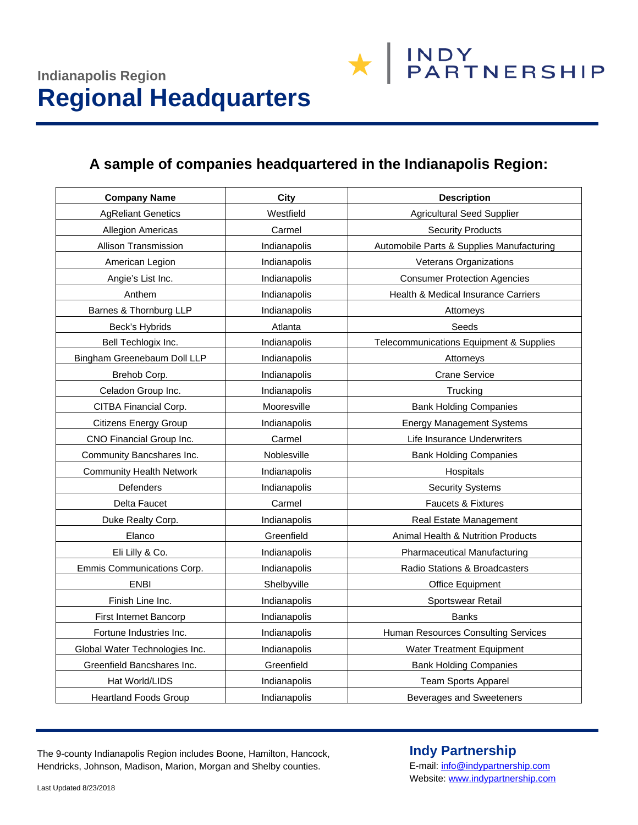# **A sample of companies headquartered in the Indianapolis Region:**

| <b>Company Name</b>             | <b>City</b>  | <b>Description</b>                        |
|---------------------------------|--------------|-------------------------------------------|
| <b>AgReliant Genetics</b>       | Westfield    | <b>Agricultural Seed Supplier</b>         |
| <b>Allegion Americas</b>        | Carmel       | <b>Security Products</b>                  |
| <b>Allison Transmission</b>     | Indianapolis | Automobile Parts & Supplies Manufacturing |
| American Legion                 | Indianapolis | Veterans Organizations                    |
| Angie's List Inc.               | Indianapolis | <b>Consumer Protection Agencies</b>       |
| Anthem                          | Indianapolis | Health & Medical Insurance Carriers       |
| Barnes & Thornburg LLP          | Indianapolis | Attorneys                                 |
| Beck's Hybrids                  | Atlanta      | Seeds                                     |
| Bell Techlogix Inc.             | Indianapolis | Telecommunications Equipment & Supplies   |
| Bingham Greenebaum Doll LLP     | Indianapolis | Attorneys                                 |
| Brehob Corp.                    | Indianapolis | <b>Crane Service</b>                      |
| Celadon Group Inc.              | Indianapolis | Trucking                                  |
| CITBA Financial Corp.           | Mooresville  | <b>Bank Holding Companies</b>             |
| <b>Citizens Energy Group</b>    | Indianapolis | <b>Energy Management Systems</b>          |
| CNO Financial Group Inc.        | Carmel       | Life Insurance Underwriters               |
| Community Bancshares Inc.       | Noblesville  | <b>Bank Holding Companies</b>             |
| <b>Community Health Network</b> | Indianapolis | Hospitals                                 |
| Defenders                       | Indianapolis | <b>Security Systems</b>                   |
| Delta Faucet                    | Carmel       | <b>Faucets &amp; Fixtures</b>             |
| Duke Realty Corp.               | Indianapolis | Real Estate Management                    |
| Elanco                          | Greenfield   | Animal Health & Nutrition Products        |
| Eli Lilly & Co.                 | Indianapolis | <b>Pharmaceutical Manufacturing</b>       |
| Emmis Communications Corp.      | Indianapolis | Radio Stations & Broadcasters             |
| <b>ENBI</b>                     | Shelbyville  | Office Equipment                          |
| Finish Line Inc.                | Indianapolis | Sportswear Retail                         |
| First Internet Bancorp          | Indianapolis | <b>Banks</b>                              |
| Fortune Industries Inc.         | Indianapolis | Human Resources Consulting Services       |
| Global Water Technologies Inc.  | Indianapolis | Water Treatment Equipment                 |
| Greenfield Bancshares Inc.      | Greenfield   | <b>Bank Holding Companies</b>             |
| Hat World/LIDS                  | Indianapolis | <b>Team Sports Apparel</b>                |
| <b>Heartland Foods Group</b>    | Indianapolis | <b>Beverages and Sweeteners</b>           |

The 9-county Indianapolis Region includes Boone, Hamilton, Hancock, Hendricks, Johnson, Madison, Marion, Morgan and Shelby counties.

### **Indy Partnership**

**\*** BARTNERSHIP

E-mail[: info@indypartnership.com](mailto:info@indypartnership.com) Website[: www.indypartnership.com](http://www.indypartnership.com/)